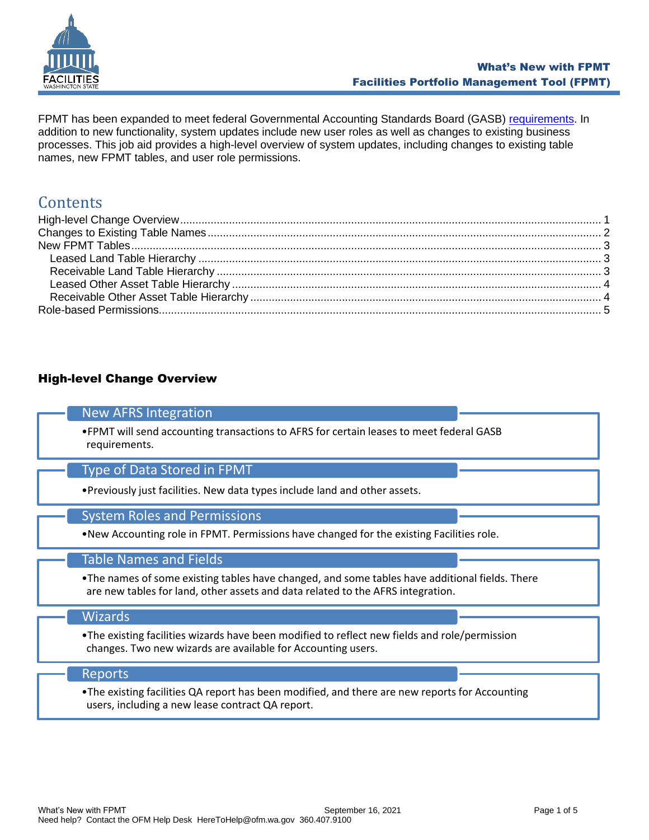

FPMT has been expanded to meet federal Governmental Accounting Standards Board (GASB) [requirements.](https://ofm.wa.gov/accounting/administrative-accounting-resources/leases-gasb-87) In addition to new functionality, system updates include new user roles as well as changes to existing business processes. This job aid provides a high-level overview of system updates, including changes to existing table names, new FPMT tables, and user role permissions.

# **Contents**

# <span id="page-0-0"></span>High-level Change Overview

# New AFRS Integration

•FPMT will send accounting transactions to AFRS for certain leases to meet federal GASB requirements.

## Type of Data Stored in FPMT

•Previously just facilities. New data types include land and other assets.

#### System Roles and Permissions

•New Accounting role in FPMT. Permissions have changed for the existing Facilities role.

## Table Names and Fields

•The names of some existing tables have changed, and some tables have additional fields. There are new tables for land, other assets and data related to the AFRS integration.

#### Wizards

•The existing facilities wizards have been modified to reflect new fields and role/permission changes. Two new wizards are available for Accounting users.

#### Reports

•The existing facilities QA report has been modified, and there are new reports for Accounting users, including a new lease contract QA report.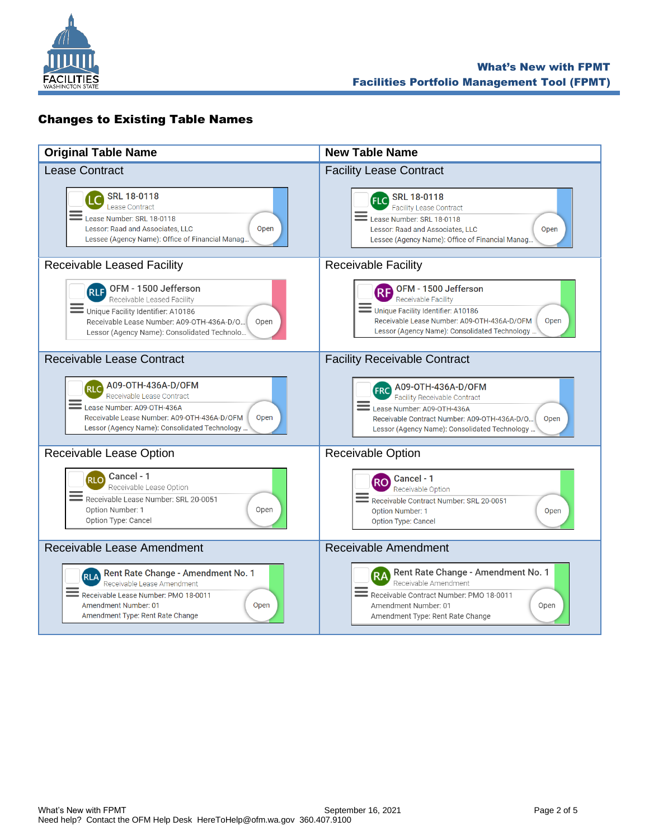

# <span id="page-1-0"></span>Changes to Existing Table Names

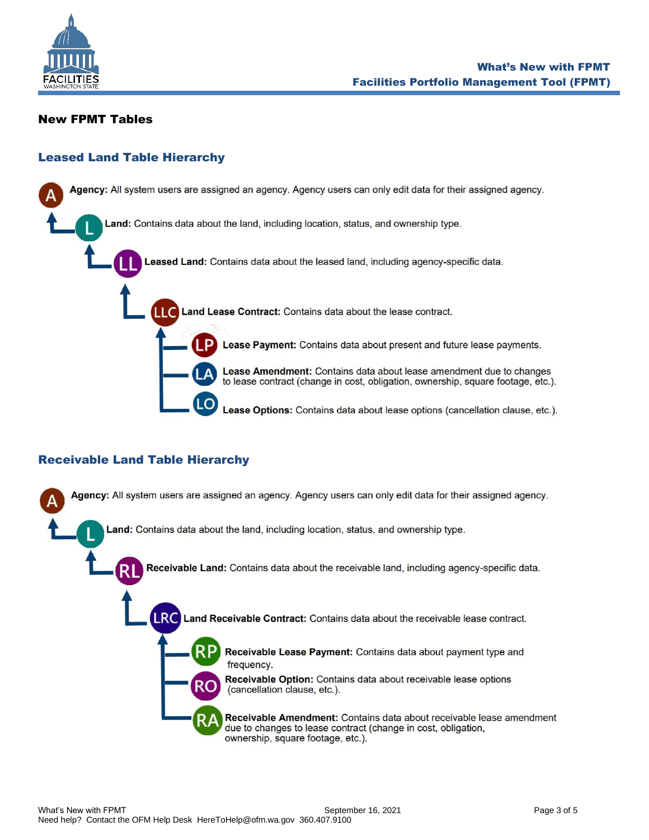

### <span id="page-2-0"></span>New FPMT Tables

### <span id="page-2-1"></span>Leased Land Table Hierarchy

Agency: All system users are assigned an agency. Agency users can only edit data for their assigned agency. .and: Contains data about the land, including location, status, and ownership type. Leased Land: Contains data about the leased land, including agency-specific data. Land Lease Contract: Contains data about the lease contract. Lease Payment: Contains data about present and future lease payments. Lease Amendment: Contains data about lease amendment due to changes to lease contract (change in cost, obligation, ownership, square footage, etc.).

Lease Options: Contains data about lease options (cancellation clause, etc.).

## <span id="page-2-2"></span>Receivable Land Table Hierarchy

Agency: All system users are assigned an agency. Agency users can only edit data for their assigned agency. Land: Contains data about the land, including location, status, and ownership type. Receivable Land: Contains data about the receivable land, including agency-specific data. Land Receivable Contract: Contains data about the receivable lease contract. LRC Receivable Lease Payment: Contains data about payment type and frequency. Receivable Option: Contains data about receivable lease options (cancellation clause, etc.). Receivable Amendment: Contains data about receivable lease amendment due to changes to lease contract (change in cost, obligation, ownership, square footage, etc.).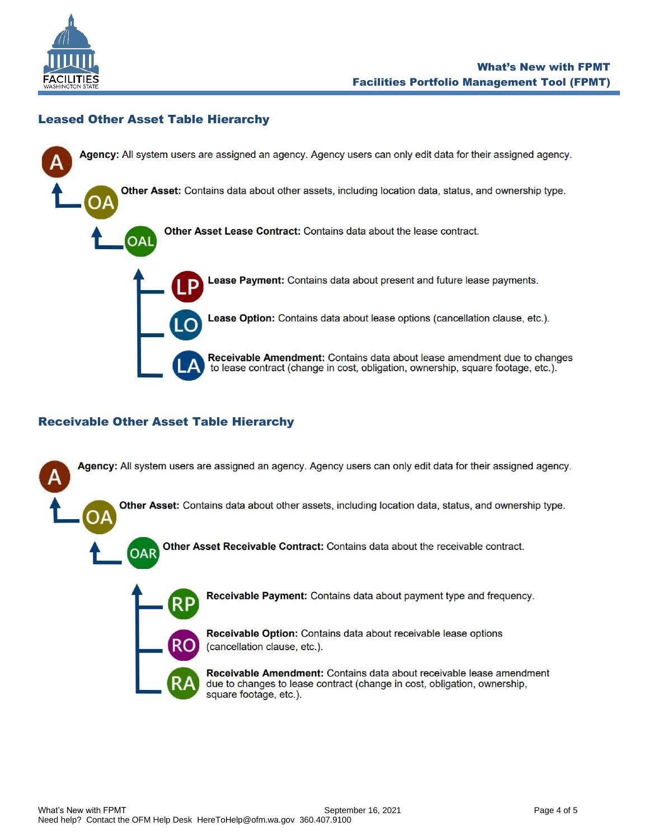

# <span id="page-3-0"></span>Leased Other Asset Table Hierarchy



# <span id="page-3-1"></span>Receivable Other Asset Table Hierarchy